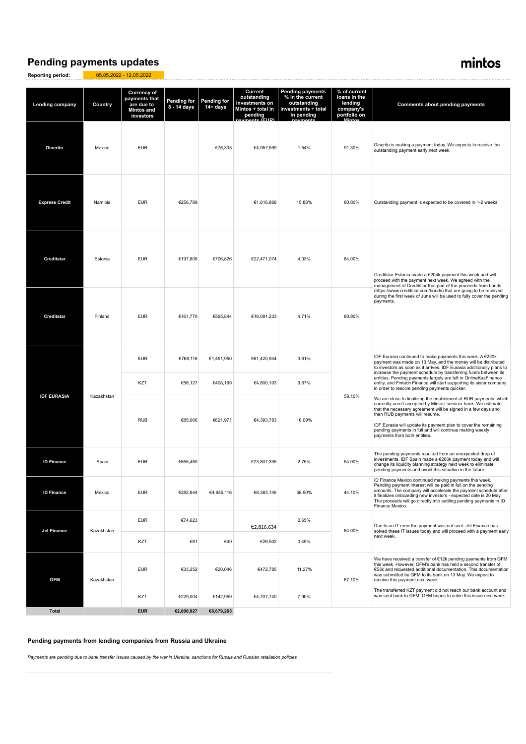### **Pending payments updates**

**Reporting period:** 05.05.2022 - 12.05.2022

## mintos

| <b>Lending company</b> | Country    | <b>Currency of</b><br>payments that<br>are due to<br><b>Mintos and</b><br>investors | Pending for<br>8 - 14 days | <b>Pending for</b><br>14+ days | Current<br>outstanding<br>investments on<br>Mintos + total in<br>pending<br>monte (ELIP | <b>Pending payments</b><br>% in the current<br>outstanding<br>investments + total<br>in pending | % of current<br>loans in the<br>lending<br>company's<br>portfolio on<br>مغمنانا | <b>Comments about pending payments</b>                                                                                                                                                                                                                                                                                                                                                                                                                             |
|------------------------|------------|-------------------------------------------------------------------------------------|----------------------------|--------------------------------|-----------------------------------------------------------------------------------------|-------------------------------------------------------------------------------------------------|---------------------------------------------------------------------------------|--------------------------------------------------------------------------------------------------------------------------------------------------------------------------------------------------------------------------------------------------------------------------------------------------------------------------------------------------------------------------------------------------------------------------------------------------------------------|
| <b>Dinerito</b>        | Mexico     | <b>EUR</b>                                                                          |                            | €76,305                        | €4.957.599                                                                              | 1.54%                                                                                           | 91.30%                                                                          | Dinerito is making a payment today. We expects to receive the<br>outstanding payment early next week.                                                                                                                                                                                                                                                                                                                                                              |
| <b>Express Credit</b>  | Namibia    | <b>EUR</b>                                                                          | €256,789                   |                                | €1,616,868                                                                              | 15.88%                                                                                          | 80.00%                                                                          | Outstanding payment is expected to be covered in 1-2 weeks.                                                                                                                                                                                                                                                                                                                                                                                                        |
| Creditstar             | Estonia    | <b>EUR</b>                                                                          | €197,805                   | €706,826                       | €22,471,074                                                                             | 4.03%                                                                                           | 84.00%                                                                          | Creditstar Estonia made a €204k payment this week and will<br>proceed with the payment next week. We agreed with the<br>management of Creditstar that part of the proceeds from bonds                                                                                                                                                                                                                                                                              |
| Creditstar             | Finland    | <b>EUR</b>                                                                          | €161,770                   | €595,844                       | €16,091,233                                                                             | 4.71%                                                                                           | 80.90%                                                                          | (https://www.creditstar.com/bonds) that are going to be received<br>during the first week of June will be used to fully cover the pending<br>payments.                                                                                                                                                                                                                                                                                                             |
|                        | Kazakhstan | <b>EUR</b>                                                                          | €768,116                   | €1,451,950                     | €61,420,944                                                                             | 3.61%                                                                                           | 58.10%                                                                          | IDF Eurasia continued to make payments this week. A €220k<br>payment was made on 13 May, and the money will be distributed<br>to investors as soon as it arrives. IDF Eurasia additionally plans to<br>increase the payment schedule by transferring funds between its<br>entities. Pending payments largely are left in OnlineKazFinance<br>entity, and Fintech Finance will start supporting its sister company<br>in order to resolve pending payments quicker. |
|                        |            | KZT                                                                                 | €56,127                    | €408,199                       | €4,800,103                                                                              | 9.67%                                                                                           |                                                                                 |                                                                                                                                                                                                                                                                                                                                                                                                                                                                    |
| <b>IDF EURASIA</b>     |            | <b>RUB</b>                                                                          | €85,066                    | €621,971                       | €4,393,783                                                                              | 16.09%                                                                                          |                                                                                 | We are close to finalizing the enablement of RUB payments, which<br>currently aren't accepted by Mintos' servicer bank. We estimate<br>that the necessary agreement will be signed in a few days and<br>then RUB payments will resume.<br>IDF Eurasia will update its payment plan to cover the remaining<br>pending payments in full and will continue making weekly<br>payments from both entities.                                                              |
| <b>ID Finance</b>      | Spain      | <b>EUR</b>                                                                          | €655,450                   |                                | €23,807,335                                                                             | 2.75%                                                                                           | 54.00%                                                                          | The pending payments resulted from an unexpected drop of<br>investments. IDF Spain made a €200k payment today and will<br>change its liquidity planning strategy next week to eliminate<br>pending payments and avoid this situation in the future.                                                                                                                                                                                                                |
| <b>ID Finance</b>      | Mexico     | <b>EUR</b>                                                                          | €282,844                   | €4,655,116                     | €8,383,146                                                                              | 58.90%                                                                                          | 44.10%                                                                          | ID Finance Mexico continued making payments this week.<br>Pending payment interest will be paid in full on the pending<br>amounts. The company will accelerate the payment schedule after<br>it finalizes onboarding new investors - expected date is 20 May.<br>The proceeds will go directly into settling pending payments in ID<br>Finance Mexico.                                                                                                             |
| <b>Jet Finance</b>     | Kazakhstan | <b>EUR</b>                                                                          | €74,623                    |                                | €2,816,634                                                                              | 2.65%                                                                                           | 64.00%                                                                          | Due to an IT error the payment was not sent. Jet Finance has<br>solved these IT issues today and will proceed with a payment early<br>next week.                                                                                                                                                                                                                                                                                                                   |
|                        |            | KZT                                                                                 | €81                        | €49                            | €26,502                                                                                 | 0.49%                                                                                           |                                                                                 |                                                                                                                                                                                                                                                                                                                                                                                                                                                                    |
| <b>GFM</b>             | Kazakhstan | <b>EUR</b>                                                                          | €33,252                    | €20,046                        | €472,785                                                                                | 11.27%                                                                                          | 67.10%                                                                          | We have received a transfer of €12k pending payments from GFM<br>this week. However, GFM's bank has held a second transfer of<br>€53k and requested additional documentation. This documentation<br>was submitted by GFM to its bank on 13 May. We expect to<br>receive this payment next week.                                                                                                                                                                    |
|                        |            | KZT                                                                                 | €229,004                   | €142,959                       | €4,707,740                                                                              | 7.90%                                                                                           |                                                                                 | The transferred KZT payment did not reach our bank account and<br>was sent back to GFM. GFM hopes to solve this issue next week.                                                                                                                                                                                                                                                                                                                                   |
| <b>Total</b>           |            | <b>EUR</b>                                                                          | €2,800,927                 | €8,679,265                     |                                                                                         |                                                                                                 |                                                                                 |                                                                                                                                                                                                                                                                                                                                                                                                                                                                    |

**Pending payments from lending companies from Russia and Ukraine**

*Payments are pending due to bank transfer issues caused by the war in Ukraine, sanctions for Russia and Russian retaliation policies*